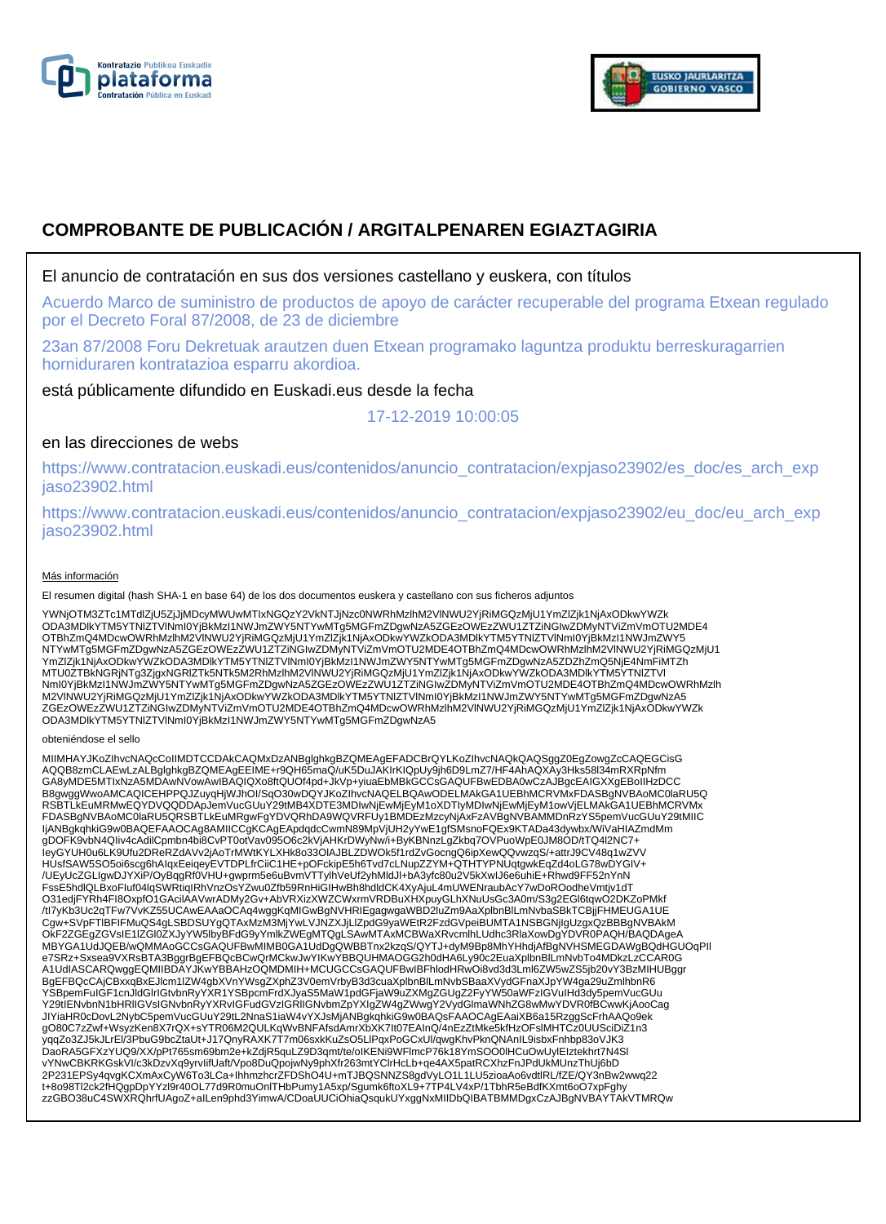



# **COMPROBANTE DE PUBLICACIÓN / ARGITALPENAREN EGIAZTAGIRIA**

# El anuncio de contratación en sus dos versiones castellano y euskera, con títulos

Acuerdo Marco de suministro de productos de apoyo de carácter recuperable del programa Etxean regulado por el Decreto Foral 87/2008, de 23 de diciembre

23an 87/2008 Foru Dekretuak arautzen duen Etxean programako laguntza produktu berreskuragarrien horniduraren kontratazioa esparru akordioa.

está públicamente difundido en Euskadi.eus desde la fecha

17-12-2019 10:00:05

# en las direcciones de webs

https://www.contratacion.euskadi.eus/contenidos/anuncio\_contratacion/expjaso23902/es\_doc/es\_arch\_exp jaso23902.html

https://www.contratacion.euskadi.eus/contenidos/anuncio\_contratacion/expjaso23902/eu\_doc/eu\_arch\_exp jaso23902.html

### Más información

El resumen digital (hash SHA-1 en base 64) de los dos documentos euskera y castellano con sus ficheros adjuntos

YWNjOTM3ZTc1MTdlZjU5ZjJjMDcyMWUwMTIxNGQzY2VkNTJjNzc0NWRhMzlhM2VlNWU2YjRiMGQzMjU1YmZlZjk1NjAxODkwYWZk ODA3MDlkYTM5YTNlZTVlNmI0YjBkMzI1NWJmZWY5NTYwMTg5MGFmZDgwNzA5ZGEzOWEzZWU1ZTZiNGIwZDMyNTViZmVmOTU2MDE4 OTBhZmQ4MDcwOWRhMzlhM2VlNWU2YjRiMGQzMjU1YmZlZjk1NjAxODkwYWZkODA3MDlkYTM5YTNlZTVlNml0YjBkMzI1NWJmZWY5<br>NTYwMTg5MGFmZDgwNzA5ZGEzOWEzZWU1ZTZiNGIwZDMyNTViZmVmOTU2MDE4OTBhZmQ4MDcwOWRhMzlhM2VlNWU2YjRiMGQzMjU1 YmZlZjk1NjAxODkwYWZkODA3MDlkYTM5YTNlZTVlNmI0YjBkMzI1NWJmZWY5NTYwMTg5MGFmZDgwNzA5ZDZhZmQ5NjE4NmFiMTZh MTU0ZTBkNGRjNTg3ZjgxNGRlZTk5NTk5M2RhMzlhM2VlNWU2YjRiMGQzMjU1YmZlZjk1NjAxODkwYWZkODA3MDlkYTM5YTNlZTVl NmI0YjBkMzI1NWJmZWY5NTYwMTg5MGFmZDgwNzA5ZGEzOWEzZWU1ZTZiNGIwZDMyNTViZmVmOTU2MDE4OTBhZmQ4MDcwOWRhMzlh M2VlNWU2YjRiMGQzMjU1YmZlZjk1NjAxODkwYWZkODA3MDlkYTM5YTNlZTVlNmI0YjBkMzI1NWJmZWY5NTYwMTg5MGFmZDgwNzA5 ZGEzOWEzZWU1ZTZiNGIwZDMyNTViZmVmOTU2MDE4OTBhZmQ4MDcwOWRhMzlhM2VlNWU2YjRiMGQzMjU1YmZlZjk1NjAxODkwYWZk ODA3MDlkYTM5YTNlZTVlNmI0YjBkMzI1NWJmZWY5NTYwMTg5MGFmZDgwNzA5

#### obteniéndose el sello

MIIMHAYJKoZIhvcNAQcCoIIMDTCCDAkCAQMxDzANBglghkgBZQMEAgEFADCBrQYLKoZIhvcNAQkQAQSggZ0EgZowgZcCAQEGCisG AQQB8zmCLAEwLzALBglghkgBZQMEAgEEIME+r9QH65maQ/uK5DuJAKIrKIQpUy9jh6D9LmZ7/HF4AhAQXAy3Hks58l34mRXRpNfm GA8yMDE5MTIxNzA5MDAwNVowAwIBAQIQXo8ftQUOf4pd+JkVp+yiuaEbMBkGCCsGAQUFBwEDBA0wCzAJBgcEAIGXXgEBoIIHzDCC B8gwggWwoAMCAQICEHPPQJZuyqHjWJhOI/SqO30wDQYJKoZIhvcNAQELBQAwODELMAkGA1UEBhMCRVMxFDASBgNVBAoMC0laRU5Q RSBTLkEuMRMwEQYDVQQDDApJemVucGUuY29tMB4XDTE3MDIwNjEwMjEyM1oXDTIyMDIwNjEwMjEyM1owVjELMAkGA1UEBhMCRVMx FDASBgNVBAoMC0laRU5QRSBTLkEuMRgwFgYDVQRhDA9WQVRFUy1BMDEzMzcyNjAxFzAVBgNVBAMMDnRzYS5pemVucGUuY29tMIIC IjANBgkqhkiG9w0BAQEFAAOCAg8AMIICCgKCAgEApdqdcCwmN89MpVjUH2yYwE1gfSMsnoFQEx9KTADa43dywbx/WiVaHIAZmdMm gDOFK9vbN4QIiv4cAdilCpmbn4bi8CvPT0otVav095O6c2kVjAHKrDWyNw/i+ByKBNnzLgZkbq7OVPuoWpE0JM8OD/tTQ4l2NC7+ IeyGYUH0u6LK9Ufu2DReRZdAVv2jAoTrMWtKYLXHk8o33OlAJBLZDWOk5f1rdZvGocngQ6ipXewQQvwzqS/+attrJ9CV48q1wZVV HUsfSAW5SO5oi6scg6hAIqxEeiqeyEVTDPLfrCiiC1HE+pOFckipE5h6Tvd7cLNupZZYM+QTHTYPNUqtgwkEqZd4oLG78wDYGIV+ /UEyUcZGLIgwDJYXiP/OyBqgRf0VHU+gwprm5e6uBvmVTTylhVeUf2yhMldJl+bA3yfc80u2V5kXwIJ6e6uhiE+Rhwd9FF52nYnN<br>FssE5hdlQLBxoFluf04lqSWRtiqIRhVnzOsYZwu0Zfb59RnHiGIHwBh8hdldCK4XyAjuL4mUWENraubAcY7wDoROodheVmtjv1dT<br>O31edjFYRh4Fl8OxpfO1 /tl7yKb3Uc2qTFw7VvKZ55UCAwEAAaOCAq4wggKqMIGwBgNVHRIEgagwgaWBD2luZm9AaXplbnBlLmNvbaSBkTCBjjFHMEUGA1UE<br>Cgw+SVpFTlBFIFMuQS4gLSBDSUYgQTAxMzM3MjYwLVJNZXJjLlZpdG9yaWEtR2FzdGVpeiBUMTA1NSBGNjIgUzgxQzBBBgNVBAkM OkF2ZGEgZGVsIE1lZGl0ZXJyYW5lbyBFdG9yYmlkZWEgMTQgLSAwMTAxMCBWaXRvcmlhLUdhc3RlaXowDgYDVR0PAQH/BAQDAgeA MBYGA1UdJQEB/wQMMAoGCCsGAQUFBwMIMB0GA1UdDgQWBBTnx2kzqS/QYTJ+dyM9Bp8MhYHhdjAfBgNVHSMEGDAWgBQdHGUOqPIl e7SRz+Sxsea9VXRsBTA3BggrBgEFBQcBCwQrMCkwJwYIKwYBBQUHMAOGG2h0dHA6Ly90c2EuaXplbnBlLmNvbTo4MDkzLzCCAR0G A1UdIASCARQwggEQMIIBDAYJKwYBBAHzOQMDMIH+MCUGCCsGAQUFBwIBFhlodHRwOi8vd3d3Lml6ZW5wZS5jb20vY3BzMIHUBggr BgEFBQcCAjCBxxqBxEJlcm1lZW4gbXVnYWsgZXphZ3V0emVrbyB3d3cuaXplbnBlLmNvbSBaaXVydGFnaXJpYW4ga29uZmlhbnR6<br>YSBpemFuIGF1cnJldGlrIGtvbnRyYXR1YSBpcmFrdXJyaS5MaW1pdGFjaW9uZXMgZGUgZ2FyYW50aWFzIGVuIHd3dy5pemVucGUu Y29tIENvbnN1bHRIIGVsIGNvbnRyYXRvIGFudGVzIGRIIGNvbmZpYXIgZW4gZWwgY2VydGlmaWNhZG8wMwYDVR0fBCwwKjAooCag<br>JIYiaHR0cDovL2NybC5pemVucGUuY29tL2NnaS1iaW4vYXJsMjANBgkqhkiG9w0BAQsFAAOCAgEAaiXB6a15RzggScFrhAAQo9ek gO80C7zZwf+WsyzKen8X7rQX+sYTR06M2QULKqWvBNFAfsdAmrXbXK7It07EAInQ/4nEzZtMke5kfHzOFslMHTCz0UUSciDiZ1n3 yqqZo3ZJ5kJLrEl/3PbuG9bcZtaUt+J17QnyRAXK7T7m06sxkKuZsO5LlPqxPoGCxUl/qwgKhvPknQNAnIL9isbxFnhbp83oVJK3 DaoRA5GFXzYUQ9/XX/pPt765sm69bm2e+kZdjR5quLZ9D3qmt/te/oIKENi9WFlmcP76k18YmSOO0lHCuOwUylEIztekhrt7N4Sl vYNwCBKRKGskVI/c3kDzvXq9yrvIifUaft/Vpo8DuQpojwNy9phXfr263mtYClrHcLb+qe4AX5patRCXhzFnJPdUkMUnzThUj6bD 2P231EPSy4qvgKCXmAxCyW6To3LCa+IhhmzhcrZFDShO4U+mTJBQSNNZS8gdVyLO1L1LU5zioaAo6vdtlRL/fZE/QY3nBw2wwq22 t+8o98Tl2ck2fHQgpDpYYzl9r40OL77d9R0muOnlTHbPumy1A5xp/Sgumk6ftoXL9+7TP4LV4xP/1TbhR5eBdfKXmt6oO7xpFghy zzGBO38uC4SWXRQhrfUAgoZ+aILen9phd3YimwA/CDoaUUCiOhiaQsqukUYxggNxMIIDbQIBATBMMDgxCzAJBgNVBAYTAkVTMRQw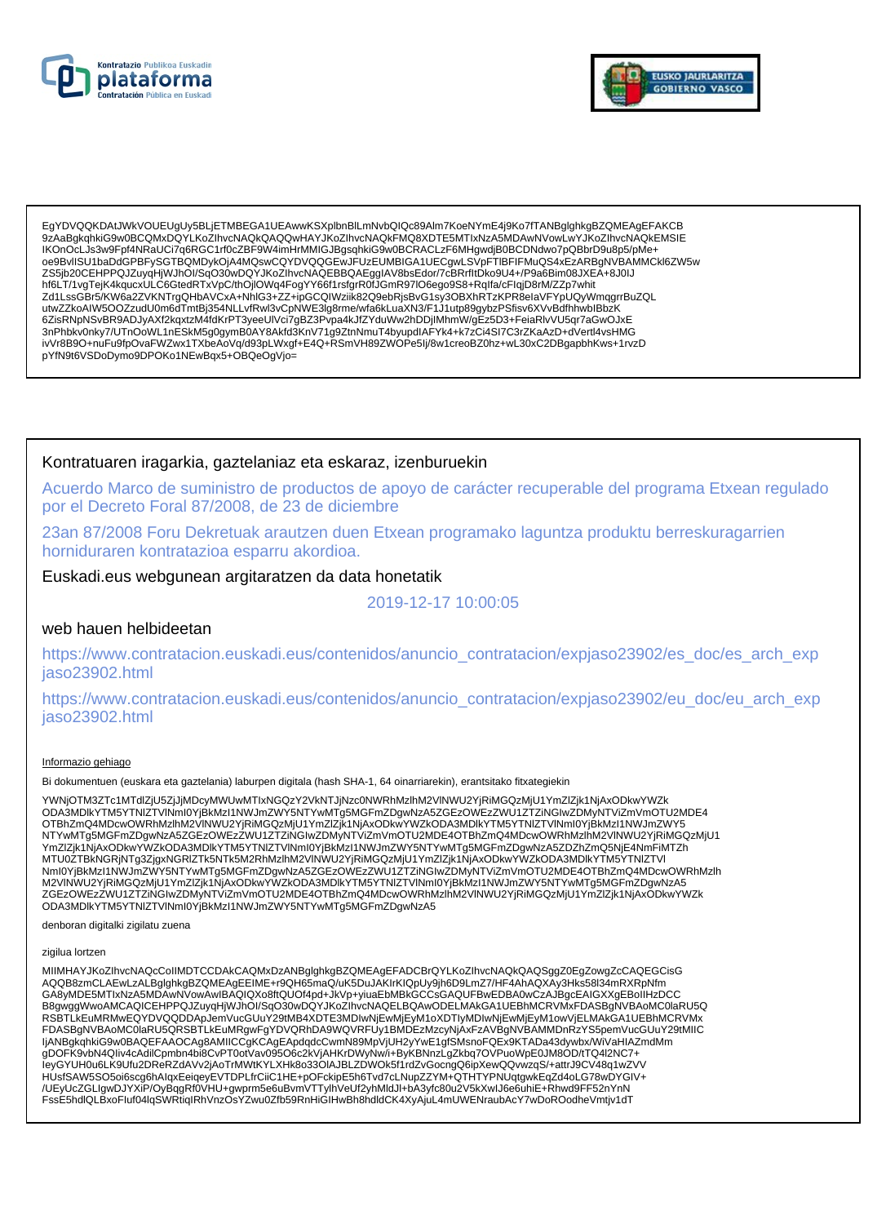



EgYDVQQKDAtJWkVOUEUgUv5BLiETMBEGA1UEAwwKSXplbnBlLmNvbQlQc89Alm7KoeNYmE4i9Ko7fTANBglghkgBZQMEAgEFAKCB 9zAaBqkqhkiG9w0BCQMxDQYLKoZIhvcNAQkQAQQwHAYJKoZIhvcNAQkFMQ8XDTE5MTIxNzA5MDAwNVowLwYJKoZIhvcNAQkEMSIE IKOnOcLJs3w9Fpf4NRaUCi7q6RGC1rf0cZBF9W4imHrMMIGJBgsqhkiG9w0BCRACLzF6MHgwdjB0BCDNdwo7pQBbrD9u8p5/pMe+ oe9BvlISU1baDdGPBFySGTBQMDykOjA4MQswCQYDVQQGEwJFUzEUMBIGA1UECgwLSVpFTIBFIFMuQS4xEzARBgNVBAMMCkl6ZW5w ZS5jb20CEHPPQJZuyqHjWJhOl/SqO30wDQYJKoZlhvcNAQEBBQAEgglAV8bsEdor/7cBRrfltDko9U4+/P9a6Bim08JXEA+8J0IJ hf6LT/1vgTejK4kqucxULC6GtedRTxVpC/thOjlOWq4FogYY66f1rsfgrR0fJGmR97lO6ego9S8+Rqlfa/cFlqjD8rM/ZZp7whit Zd1LssGBr5/KW6a2ZVKNTrgQHbAVCxA+NhlG3+ZZ+ipGCQlWziik82Q9ebRjsBvG1sy3OBXhRTzKPR8elaVFYpUQyWmqgrrBuZQL<br>utwZZkoAlW5OOZzudU0m6dTmtBj354NLLvfRwl3vCpNWE3lg8rme/wfa6kLuaXN3/F1J1utp89gybzPSfisv6XVvBdfhhwblBbzK ivVr8B9O+nuFu9fpOvaFWZwx1TXbeAoVq/d93pLWxgf+E4Q+RSmVH89ZWOPe5lj/8w1creoBZ0hz+wL30xC2DBgapbhKws+1rvzD pYfN9t6VSDoDymo9DPOKo1NEwBqx5+OBQeOgVjo=

## Kontratuaren iragarkia, gaztelaniaz eta eskaraz, izenburuekin

Acuerdo Marco de suministro de productos de apoyo de carácter recuperable del programa Etxean regulado por el Decreto Foral 87/2008, de 23 de diciembre

23an 87/2008 Foru Dekretuak arautzen duen Etxean programako laguntza produktu berreskuragarrien horniduraren kontratazioa esparru akordioa.

Euskadi.eus webgunean argitaratzen da data honetatik

2019-12-17 10:00:05

### web hauen helbideetan

https://www.contratacion.euskadi.eus/contenidos/anuncio\_contratacion/expjaso23902/es\_doc/es\_arch\_exp jaso23902.html

https://www.contratacion.euskadi.eus/contenidos/anuncio\_contratacion/expjaso23902/eu\_doc/eu\_arch\_exp jaso23902.html

### Informazio gehiago

Bi dokumentuen (euskara eta gaztelania) laburpen digitala (hash SHA-1, 64 oinarriarekin), erantsitako fitxategiekin

YWNjOTM3ZTc1MTdlZjU5ZjJjMDcyMWUwMTIxNGQzY2VkNTJjNzc0NWRhMzlhM2VlNWU2YjRiMGQzMjU1YmZlZjk1NjAxODkwYWZk ODA3MDIkYTM5YTNIZTVINmI0YjBkMzI1NWJmZWY5NTYwMTg5MGFmZDgwNzA5ZGEzOWEzZWU1ZTZiNGIwZDMyNTViZmVmOTU2MDE4 OTBhZmQ4MDcwOWRhMzlhM2VINWU2YjRiMGQzMjU1YmZlZjk1NjAxODkwYWZkODA3MDlkYTM5YTNIZTVINmI0YjBkMzI1NWJmZWY5 NTYwMTg5MGFmZDgwNzA5ZGEzOWEzZWU1ZTZiŃGIwZDMyNTViZmVmOTU2MDE4OTBhZmQ4MDcwOWRhMzIhM2VINWU2YjRiMGQzMjU1 YmZlZjk1NjAxODkwYWZkODA3MDlkYTM5YTNlZTVlNml0YjBkMzl1NWJmZWY5NTYwMTg5MGFmZDgwNzA5ZDZhZmQ5NjE4NmFiMTZh - https://www.amarchive.html https://www.amarchive.html http://www.amarchive.html https://www.amarchive.html https://www.amarchive.html https://www.amarchive.html https://www.amarchive.html https://www.amarchive.html http: ODA3MDIkYTM5YTNIZTVINmI0YjBkMzI1NWJmZWY5NTYwMTg5MGFmZDgwNzA5

denboran digitalki zigilatu zuena

### zigilua lortzen

MIIMHAYJKoZIhvcNAQcCoIIMDTCCDAkCAQMxDzANBglghkgBZQMEAgEFADCBrQYLKoZIhvcNAQkQAQSggZ0EgZowgZcCAQEGCisG AQQB8zmCLAEwLzALBglghkgBZQMEAgEEIME+r9QH65maQ/uK5DuJAKIrKIQpUy9jh6D9LmZ7/HF4AhAQXAy3Hks58l34mRXRpNfm GA8yMDE5MTIxNzA5MDAwNVowAwIBAQIQXo8ftQUOf4pd+JkVp+yiuaEbMBkGCCsGAQUFBwEDBA0wCzAJBgcEAIGXXgEBoIIHzDCC B8gwggWwoAMCAQICEHPPQJZuyqHjWJhOI/SqO30wDQYJKoZIhvcNAQELBQAwODELMAkGA1UEBhMCRVMxFDASBgNVBAoMC0laRU5Q RSBTLKEuMRMwEQYDVQQDDApJemVucGUuY29tMB4XDTE3MDlwNjEwMjEyM1oXDTIyMDlwNjEwMjEyM1owVjELMAkGA1UEBhMCRVMx<br>FDASBgNVBAoMC0laRU5QRSBTLkEuMRgwFgYDVQRhDA9WQVRFUy1BMDEzMzcyNjAxFzAVBgNVBAMMDnRzYS5pemVucGUuY29tMIIC IjANBgkghkiG9w0BAQEFAAOCAg8AMIICCgKCAgEApdgdcCwmN89MpVjUH2yYwE1gfSMsnoFQEx9KTADa43dywbx/WiVaHIAZmdMm gDOFK9vbN4Qliv4cAdilCpmbn4bi8CvPT0otVav095O6c2kVjAHKrDWyNw/i+ByKBNnzLgZkbq7OVPuoWpE0JM8OD/tTQ4l2NC7+ leyGYUH0u6LK9Ufu2DReRZdAVv2jAoTrMWtKYLXHk8o33OIAJBLZDWOk5f1rdZvGocngQ6ipXewQQvwzqS/+attrJ9CV48q1wZVV HUsfSAW5SO5oi6scg6hAlqxEeiqeyEVTDPLfrCiiC1HE+pOFckipE5h6Tvd7cLNupZZYM+QTHTYPNUqtgwkEqZd4oLG78wDYGIV+ /UEyUcZGLIgwDJYXiP/OyBqgRf0VHU+gwprm5e6uBvmVTTylhVeUf2yhMldJl+bA3yfc80u2V5kXwlJ6e6uhiE+Rhwd9FF52nYnN FssE5hdlQLBxoFluf04lqSWRtiqIRhVnzOsYZwu0Zfb59RnHiGIHwBh8hdldCK4XyAjuL4mUWENraubAcY7wDoROodheVmtjv1dT